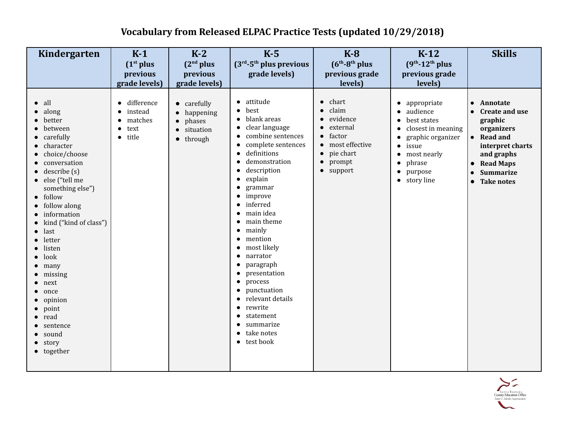## **Vocabulary from Released ELPAC Practice Tests (updated 10/29/2018)**

| Kindergarten                                                                                                                                                                                                                                                                                                                                                                                                                     | $K-1$<br>(1 <sup>st</sup> plus                    | $K-2$<br>(2 <sup>nd</sup> plus                                                                            | $K-5$<br>$(3rd-5th plus previous)$                                                                                                                                                                                                                                                                                                                                                                                                                                                                                                                                                                                                                                                                                                    | $K-8$<br>$(6th-8th$ plus                                                                                                                                         | $K-12$<br>$(9th - 12th$ plus                                                                                                                                                             | <b>Skills</b>                                                                                                                                                                                                                    |
|----------------------------------------------------------------------------------------------------------------------------------------------------------------------------------------------------------------------------------------------------------------------------------------------------------------------------------------------------------------------------------------------------------------------------------|---------------------------------------------------|-----------------------------------------------------------------------------------------------------------|---------------------------------------------------------------------------------------------------------------------------------------------------------------------------------------------------------------------------------------------------------------------------------------------------------------------------------------------------------------------------------------------------------------------------------------------------------------------------------------------------------------------------------------------------------------------------------------------------------------------------------------------------------------------------------------------------------------------------------------|------------------------------------------------------------------------------------------------------------------------------------------------------------------|------------------------------------------------------------------------------------------------------------------------------------------------------------------------------------------|----------------------------------------------------------------------------------------------------------------------------------------------------------------------------------------------------------------------------------|
|                                                                                                                                                                                                                                                                                                                                                                                                                                  | previous                                          | previous                                                                                                  | grade levels)                                                                                                                                                                                                                                                                                                                                                                                                                                                                                                                                                                                                                                                                                                                         | previous grade                                                                                                                                                   | previous grade                                                                                                                                                                           |                                                                                                                                                                                                                                  |
|                                                                                                                                                                                                                                                                                                                                                                                                                                  | grade levels)                                     | grade levels)                                                                                             |                                                                                                                                                                                                                                                                                                                                                                                                                                                                                                                                                                                                                                                                                                                                       | levels)                                                                                                                                                          | levels)                                                                                                                                                                                  |                                                                                                                                                                                                                                  |
| all<br>along<br>better<br>between<br>carefully<br>character<br>choice/choose<br>conversation<br>describe (s)<br>• else ("tell me<br>something else")<br>• follow<br>• follow along<br>• information<br>• kind ("kind of class")<br>$\bullet$ last<br>letter<br>listen<br>look<br>$\bullet$ many<br>$\bullet$ missing<br>$\bullet$ next<br>once<br>opinion<br>point<br>read<br>sentence<br>sound<br>$\bullet$ story<br>• together | difference<br>instead<br>matches<br>text<br>title | $\bullet$ carefully<br>happening<br>$\bullet$<br>phases<br>situation<br>$\bullet$<br>through<br>$\bullet$ | $\bullet$ attitude<br>best<br>$\bullet$<br>blank areas<br>$\bullet$<br>clear language<br>$\bullet$<br>combine sentences<br>$\bullet$<br>complete sentences<br>$\bullet$<br>definitions<br>$\bullet$<br>demonstration<br>description<br>explain<br>$\bullet$<br>grammar<br>improve<br>$\bullet$<br>inferred<br>$\bullet$<br>main idea<br>$\bullet$<br>main theme<br>$\bullet$<br>mainly<br>$\bullet$<br>mention<br>$\bullet$<br>most likely<br>narrator<br>$\bullet$<br>paragraph<br>$\bullet$<br>presentation<br>$\bullet$<br>process<br>$\bullet$<br>punctuation<br>$\bullet$<br>relevant details<br>$\bullet$<br>rewrite<br>$\bullet$<br>statement<br>$\bullet$<br>summarize<br>$\bullet$<br>take notes<br>$\bullet$<br>• test book | $\bullet$ chart<br>claim<br>$\bullet$<br>evidence<br>external<br>factor<br>$\bullet$<br>• most effective<br>$\bullet$ pie chart<br>$\bullet$ prompt<br>• support | • appropriate<br>· audience<br>best states<br>closest in meaning<br>$\bullet$<br>graphic organizer<br>$\bullet$ issue<br>• most nearly<br>phrase<br>purpose<br>$\bullet$<br>• story line | Annotate<br>$\bullet$<br><b>Create and use</b><br>graphic<br>organizers<br><b>Read and</b><br>$\bullet$<br>interpret charts<br>and graphs<br><b>Read Maps</b><br>$\bullet$<br><b>Summarize</b><br><b>Take notes</b><br>$\bullet$ |